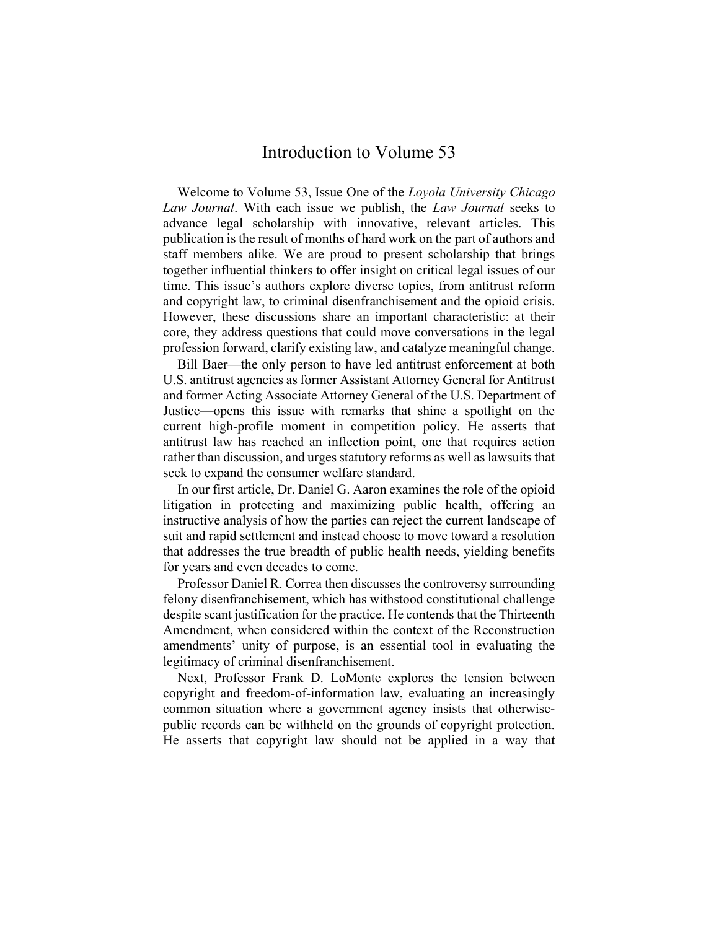## Introduction to Volume 53

Welcome to Volume 53, Issue One of the Loyola University Chicago Law Journal. With each issue we publish, the Law Journal seeks to advance legal scholarship with innovative, relevant articles. This publication is the result of months of hard work on the part of authors and staff members alike. We are proud to present scholarship that brings together influential thinkers to offer insight on critical legal issues of our time. This issue's authors explore diverse topics, from antitrust reform and copyright law, to criminal disenfranchisement and the opioid crisis. However, these discussions share an important characteristic: at their core, they address questions that could move conversations in the legal profession forward, clarify existing law, and catalyze meaningful change.

Bill Baer—the only person to have led antitrust enforcement at both U.S. antitrust agencies as former Assistant Attorney General for Antitrust and former Acting Associate Attorney General of the U.S. Department of Justice—opens this issue with remarks that shine a spotlight on the current high-profile moment in competition policy. He asserts that antitrust law has reached an inflection point, one that requires action rather than discussion, and urges statutory reforms as well as lawsuits that seek to expand the consumer welfare standard.

In our first article, Dr. Daniel G. Aaron examines the role of the opioid litigation in protecting and maximizing public health, offering an instructive analysis of how the parties can reject the current landscape of suit and rapid settlement and instead choose to move toward a resolution that addresses the true breadth of public health needs, yielding benefits for years and even decades to come.

Professor Daniel R. Correa then discusses the controversy surrounding felony disenfranchisement, which has withstood constitutional challenge despite scant justification for the practice. He contends that the Thirteenth Amendment, when considered within the context of the Reconstruction amendments' unity of purpose, is an essential tool in evaluating the legitimacy of criminal disenfranchisement.

Next, Professor Frank D. LoMonte explores the tension between copyright and freedom-of-information law, evaluating an increasingly common situation where a government agency insists that otherwisepublic records can be withheld on the grounds of copyright protection. He asserts that copyright law should not be applied in a way that